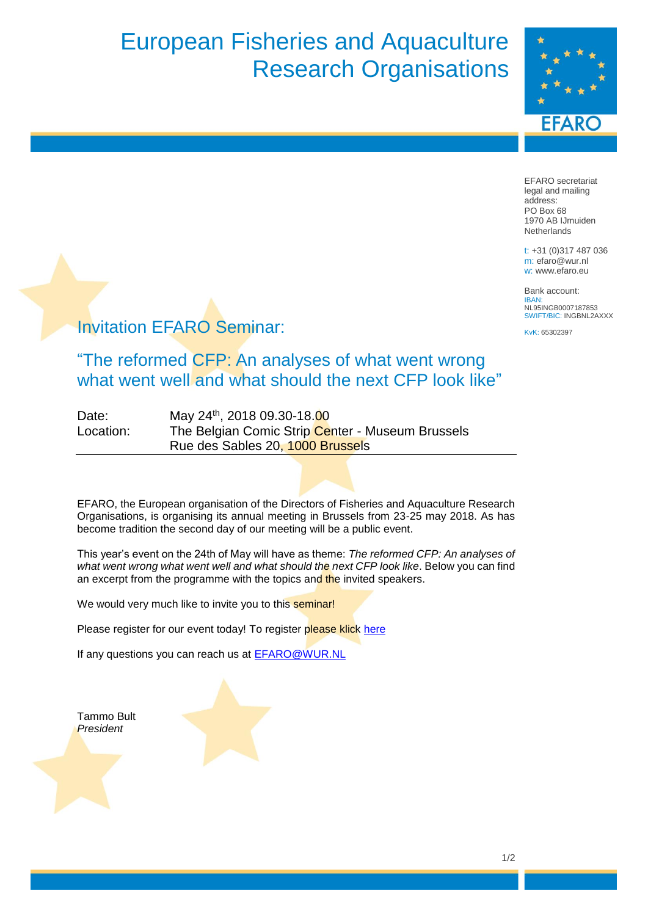# European Fisheries and Aquaculture Research Organisations



EFARO secretariat legal and mailing address: PO Box 68 1970 AB IJmuiden **Netherlands** 

t: +31 (0)317 487 036 m: efaro@wur.nl w: www.efaro.eu

Bank account: IBAN: NL95INGB0007187853 SWIFT/BIC: INGBNL2AXXX

KvK: 65302397

#### Invitation EFARO Seminar:

"The reformed CFP: An analyses of what went wrong what went well and what should the next CFP look like"

| Date:     | May 24 <sup>th</sup> , 2018 09.30-18.00          |
|-----------|--------------------------------------------------|
| Location: | The Belgian Comic Strip Center - Museum Brussels |
|           | Rue des Sables 20, 1000 Brussels                 |

EFARO, the European organisation of the Directors of Fisheries and Aquaculture Research Organisations, is organising its annual meeting in Brussels from 23-25 may 2018. As has become tradition the second day of our meeting will be a public event.

This year's event on the 24th of May will have as theme: *The reformed CFP: An analyses of what went wrong what went well and what should the next CFP look like*. Below you can find an excerpt from the programme with the topics and the invited speakers.

We would very much like to invite you to this seminar!

Please register for our event today! To register please klick [here](https://docs.google.com/forms/d/e/1FAIpQLScXGvV2C4ItGpJPWY-qv8Jct8_a3VEA_qS6drhIU_wKq3ouKA/viewform?usp=pp_url&entry.2092238618&entry.1556369182&entry.479301265)

If any questions you can reach us at [EFARO@WUR.NL](mailto:EFARO@WUR.NL)